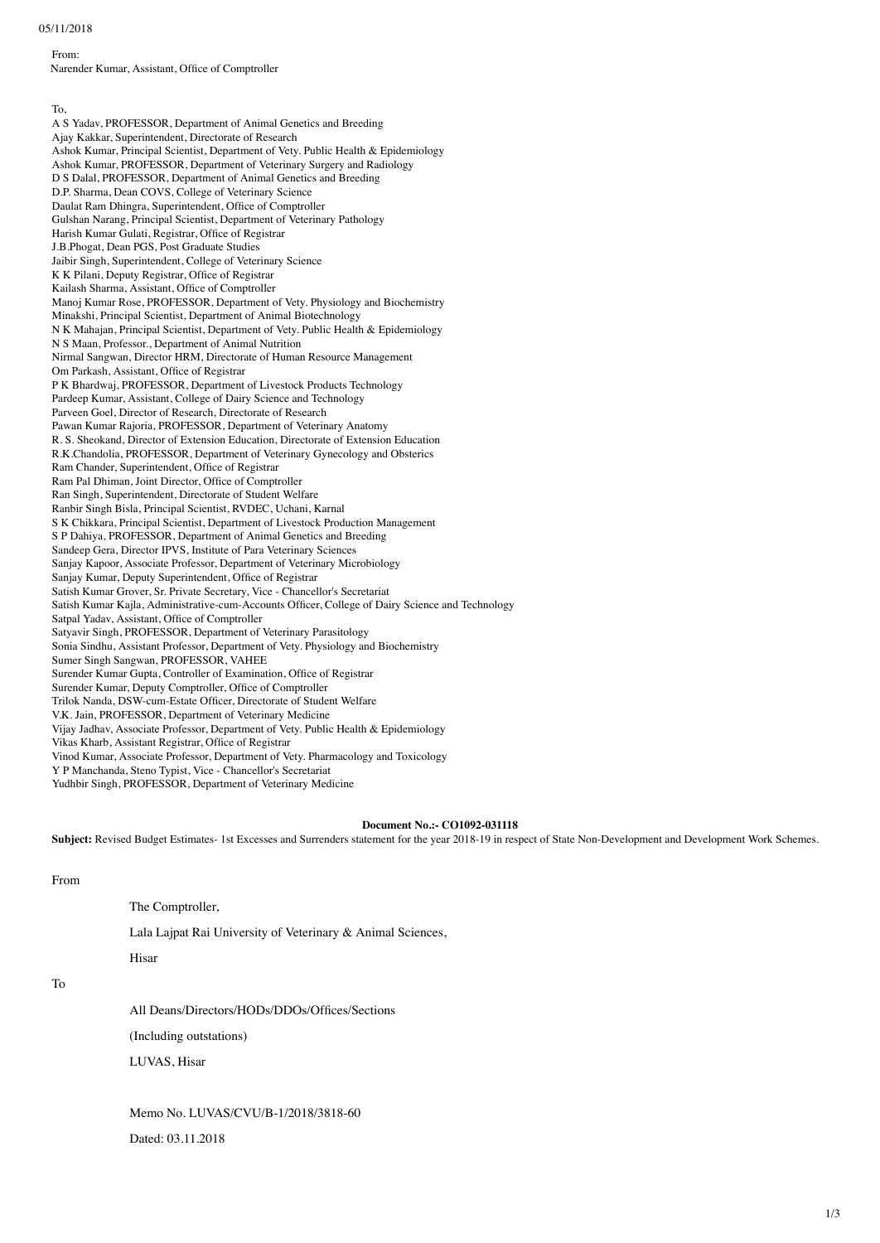#### 05/11/2018

From:

Narender Kumar, Assistant, Office of Comptroller

To, A S Yadav, PROFESSOR, Department of Animal Genetics and Breeding Ajay Kakkar, Superintendent, Directorate of Research Ashok Kumar, Principal Scientist, Department of Vety. Public Health & Epidemiology Ashok Kumar, PROFESSOR, Department of Veterinary Surgery and Radiology D S Dalal, PROFESSOR, Department of Animal Genetics and Breeding D.P. Sharma, Dean COVS, College of Veterinary Science Daulat Ram Dhingra, Superintendent, Office of Comptroller Gulshan Narang, Principal Scientist, Department of Veterinary Pathology Harish Kumar Gulati, Registrar, Office of Registrar J.B.Phogat, Dean PGS, Post Graduate Studies Jaibir Singh, Superintendent, College of Veterinary Science K K Pilani, Deputy Registrar, Office of Registrar Kailash Sharma, Assistant, Office of Comptroller Manoj Kumar Rose, PROFESSOR, Department of Vety. Physiology and Biochemistry Minakshi, Principal Scientist, Department of Animal Biotechnology N K Mahajan, Principal Scientist, Department of Vety. Public Health & Epidemiology N S Maan, Professor., Department of Animal Nutrition Nirmal Sangwan, Director HRM, Directorate of Human Resource Management Om Parkash, Assistant, Office of Registrar P K Bhardwaj, PROFESSOR, Department of Livestock Products Technology Pardeep Kumar, Assistant, College of Dairy Science and Technology Parveen Goel, Director of Research, Directorate of Research Pawan Kumar Rajoria, PROFESSOR, Department of Veterinary Anatomy R. S. Sheokand, Director of Extension Education, Directorate of Extension Education R.K.Chandolia, PROFESSOR, Department of Veterinary Gynecology and Obsterics Ram Chander, Superintendent, Office of Registrar Ram Pal Dhiman, Joint Director, Office of Comptroller Ran Singh, Superintendent, Directorate of Student Welfare Ranbir Singh Bisla, Principal Scientist, RVDEC, Uchani, Karnal S K Chikkara, Principal Scientist, Department of Livestock Production Management S P Dahiya, PROFESSOR, Department of Animal Genetics and Breeding Sandeep Gera, Director IPVS, Institute of Para Veterinary Sciences Sanjay Kapoor, Associate Professor, Department of Veterinary Microbiology Sanjay Kumar, Deputy Superintendent, Office of Registrar Satish Kumar Grover, Sr. Private Secretary, Vice - Chancellor's Secretariat Satish Kumar Kajla, Administrative-cum-Accounts Officer, College of Dairy Science and Technology Satpal Yadav, Assistant, Office of Comptroller Satyavir Singh, PROFESSOR, Department of Veterinary Parasitology Sonia Sindhu, Assistant Professor, Department of Vety. Physiology and Biochemistry Sumer Singh Sangwan, PROFESSOR, VAHEE Surender Kumar Gupta, Controller of Examination, Office of Registrar Surender Kumar, Deputy Comptroller, Office of Comptroller Trilok Nanda, DSW-cum-Estate Officer, Directorate of Student Welfare V.K. Jain, PROFESSOR, Department of Veterinary Medicine Vijay Jadhav, Associate Professor, Department of Vety. Public Health & Epidemiology Vikas Kharb, Assistant Registrar, Office of Registrar Vinod Kumar, Associate Professor, Department of Vety. Pharmacology and Toxicology Y P Manchanda, Steno Typist, Vice - Chancellor's Secretariat Yudhbir Singh, PROFESSOR, Department of Veterinary Medicine

#### **Document No.:- CO1092-031118**

Subject: Revised Budget Estimates-1st Excesses and Surrenders statement for the year 2018-19 in respect of State Non-Development and Development Work Schemes.

From

The Comptroller,

Lala Lajpat Rai University of Veterinary & Animal Sciences,

Hisar

To

All Deans/Directors/HODs/DDOs/Offices/Sections

(Including outstations)

LUVAS, Hisar

Memo No. LUVAS/CVU/B-1/2018/3818-60

Dated: 03.11.2018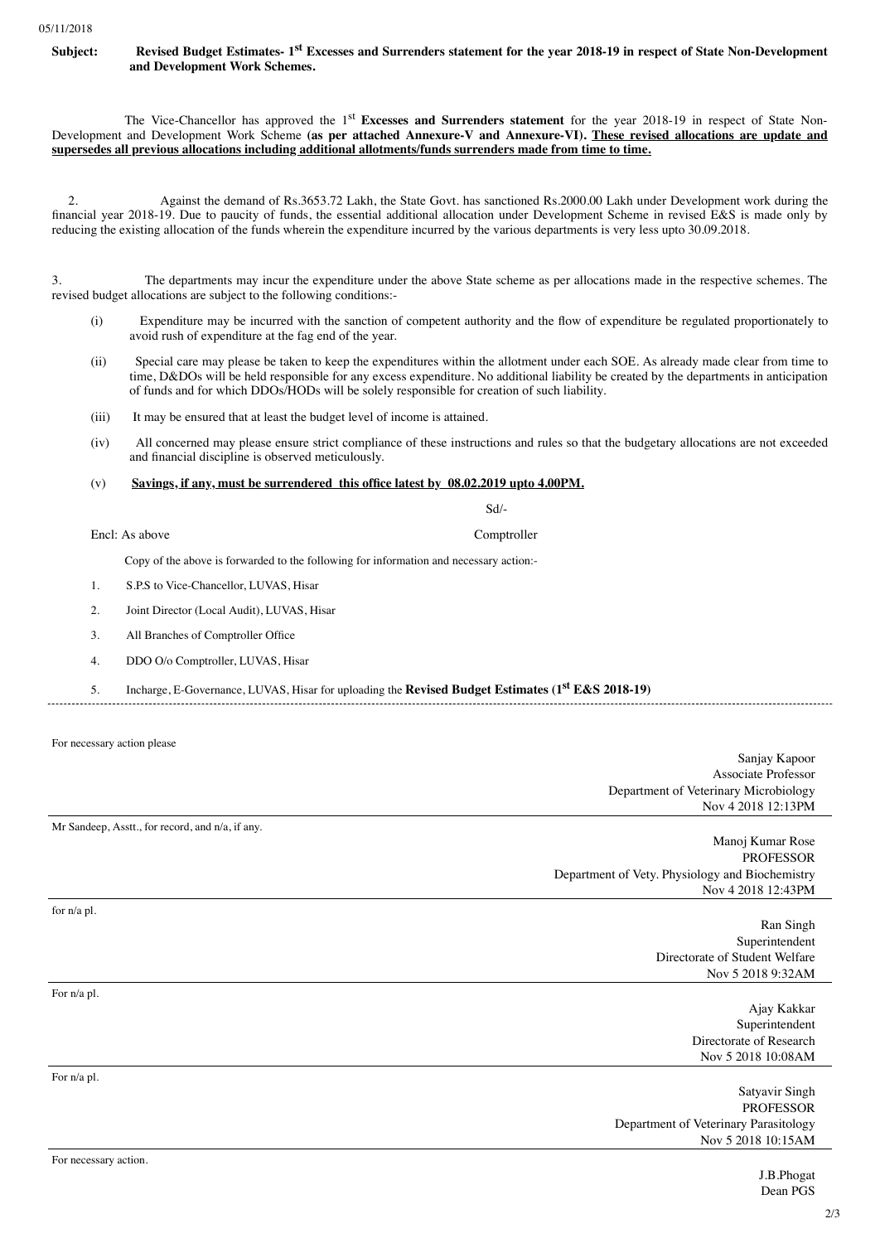

The Vice-Chancellor has approved the 1<sup>st</sup> Excesses and Surrenders statement for the year 2018-19 in respect of State Non-Development and Development Work Scheme **(as per attached Annexure-V and Annexure-VI). These revised allocations are update and supersedes all previous allocations including additional allotments/funds surrenders made from time to time.**

2. Against the demand of Rs.3653.72 Lakh, the State Govt. has sanctioned Rs.2000.00 Lakh under Development work during the financial year 2018-19. Due to paucity of funds, the essential additional allocation under Development Scheme in revised E&S is made only by reducing the existing allocation of the funds wherein the expenditure incurred by the various departments is very less upto 30.09.2018.

3. The departments may incur the expenditure under the above State scheme as per allocations made in the respective schemes. The revised budget allocations are subject to the following conditions:-

- (i) Expenditure may be incurred with the sanction of competent authority and the flow of expenditure be regulated proportionately to avoid rush of expenditure at the fag end of the year.
- (ii) Special care may please be taken to keep the expenditures within the allotment under each SOE. As already made clear from time to time, D&DOs will be held responsible for any excess expenditure. No additional liability be created by the departments in anticipation of funds and for which DDOs/HODs will be solely responsible for creation of such liability.
- (iii) It may be ensured that at least the budget level of income is attained.
- (iv) All concerned may please ensure strict compliance of these instructions and rules so that the budgetary allocations are not exceeded and financial discipline is observed meticulously.

## (v) **Savings, if any, must be surrendered this office latest by 08.02.2019 upto 4.00PM.**

Sd/-

Encl: As above Comptroller

Copy of the above is forwarded to the following for information and necessary action:-

- 1. S.P.S to Vice-Chancellor, LUVAS, Hisar
- 2. Joint Director (Local Audit), LUVAS, Hisar
- 3. All Branches of Comptroller Office
- 4. DDO O/o Comptroller, LUVAS, Hisar
- 5. Incharge, E-Governance, LUVAS, Hisar for uploading the **Revised Budget Estimates (1st E&S 2018-19)**

For necessary action please

Mr Sandeep, Asstt., for record, and n/a, if any.

Sanjay Kapoor Associate Professor Department of Veterinary Microbiology Nov 4 2018 12:13PM

Manoj Kumar Rose PROFESSOR Department of Vety. Physiology and Biochemistry Nov 4 2018 12:43PM

for n/a pl.

For n/a pl.

For n/a pl.

Ajay Kakkar Superintendent Directorate of Research Nov 5 2018 10:08AM

Nov 5 2018 9:32AM

Directorate of Student Welfare

Satyavir Singh PROFESSOR Department of Veterinary Parasitology Nov 5 2018 10:15AM

Ran Singh Superintendent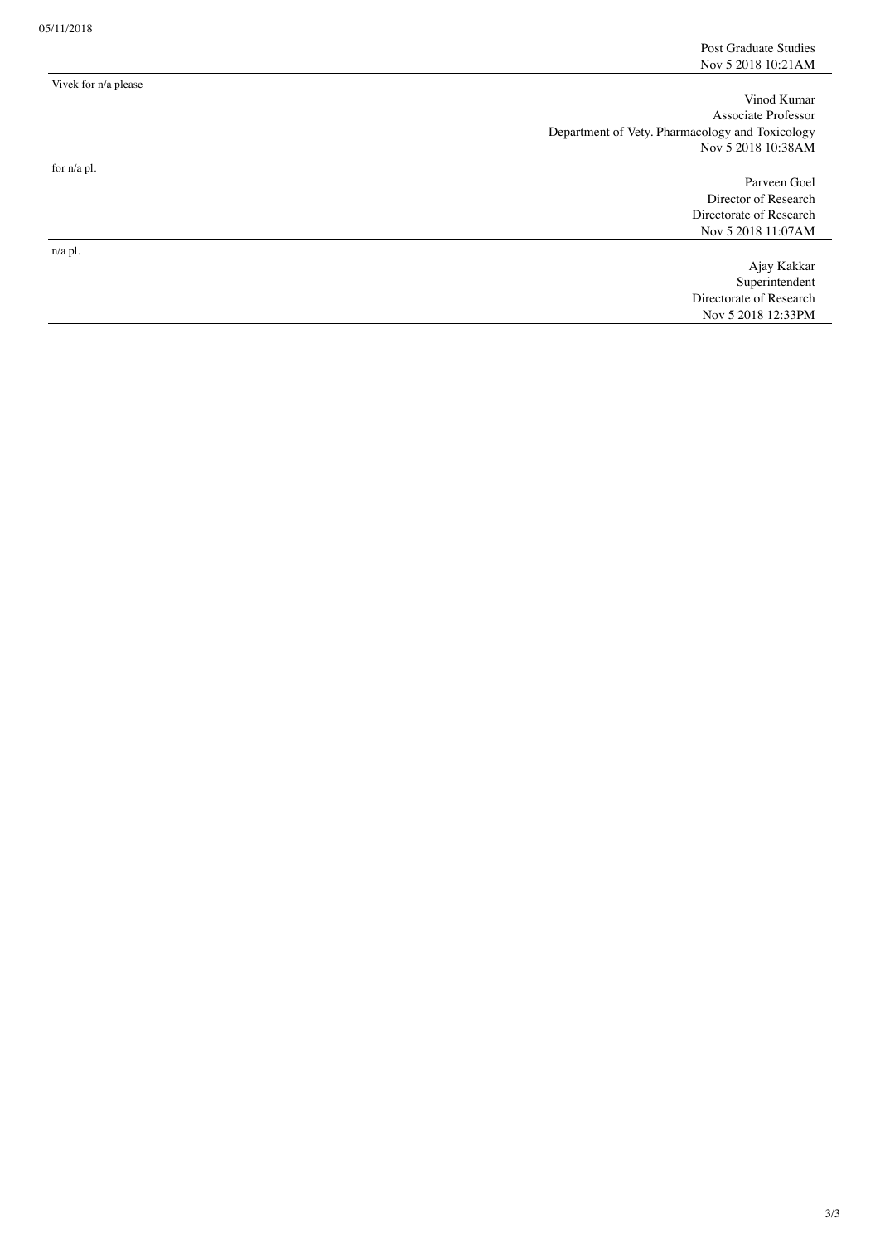Vinod Kumar Associate Professor Department of Vety. Pharmacology and Toxicology Nov 5 2018 10:38AM

for n/a pl.

Vivek for n/a please

n/a pl.

Parveen Goel Director of Research Directorate of Research Nov 5 2018 11:07AM

Ajay Kakkar Superintendent Directorate of Research Nov 5 2018 12:33PM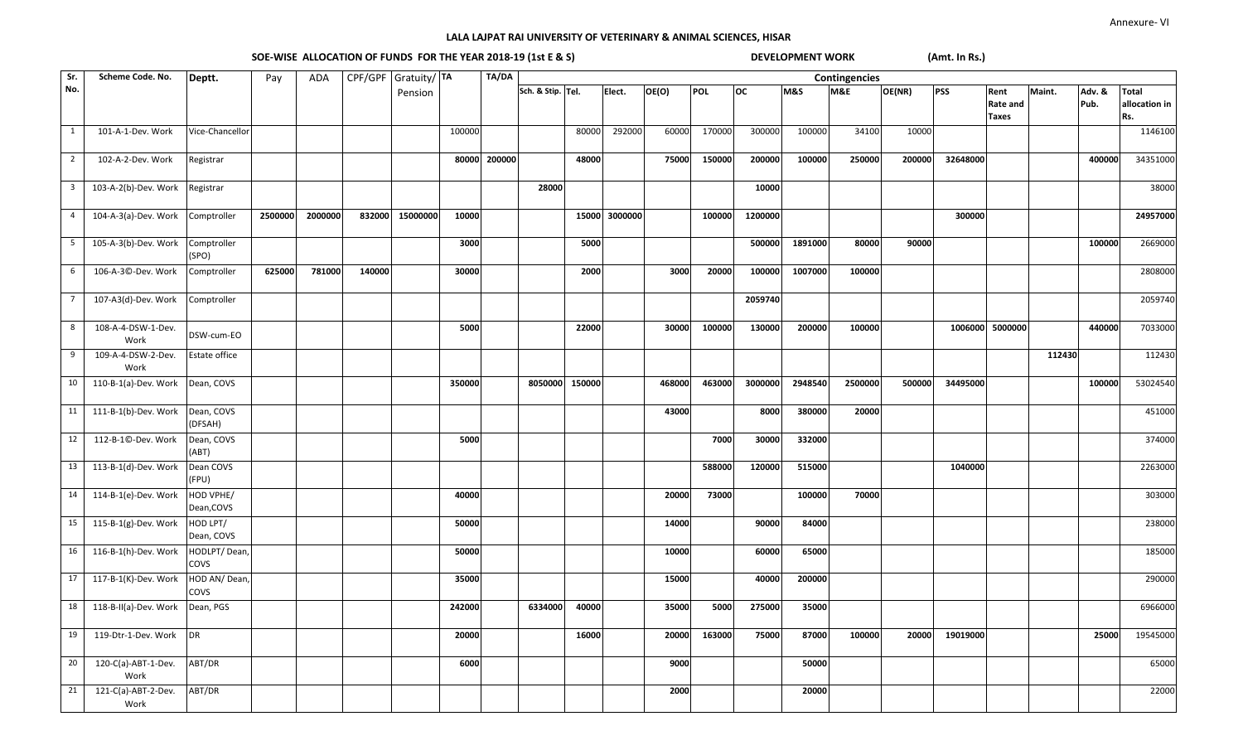# SOE-WISE ALLOCATION OF FUNDS FOR THE YEAR 2018-19 (1st E & S) DEVELOPMENT WORK **(Amt. In Rs.)**

| Sr.                     | Scheme Code. No.            | Deptt.                  | Pay     | ADA     |        | CPF/GPF Gratuity/ TA |        | TA/DA        |                   | Contingencies |         |        |        |           |         |         |        |            |                 |        |        |               |
|-------------------------|-----------------------------|-------------------------|---------|---------|--------|----------------------|--------|--------------|-------------------|---------------|---------|--------|--------|-----------|---------|---------|--------|------------|-----------------|--------|--------|---------------|
| No.                     |                             |                         |         |         |        | Pension              |        |              | Sch. & Stip. Tel. |               | Elect.  | OE(O)  | POL    | <b>OC</b> | M&S     | M&E     | OE(NR) | <b>PSS</b> | Rent            | Maint. | Adv. & | <b>Total</b>  |
|                         |                             |                         |         |         |        |                      |        |              |                   |               |         |        |        |           |         |         |        |            | <b>Rate and</b> |        | Pub.   | allocation in |
|                         |                             |                         |         |         |        |                      |        |              |                   |               |         |        |        |           |         |         |        |            | <b>Taxes</b>    |        |        | Rs.           |
| $\overline{1}$          | 101-A-1-Dev. Work           | Vice-Chancellor         |         |         |        |                      | 100000 |              |                   | 80000         | 292000  | 60000  | 170000 | 300000    | 100000  | 34100   | 10000  |            |                 |        |        | 1146100       |
|                         |                             |                         |         |         |        |                      |        | 80000 200000 |                   |               |         |        |        |           |         |         |        |            |                 |        |        |               |
| $\overline{2}$          | 102-A-2-Dev. Work           | Registrar               |         |         |        |                      |        |              |                   | 48000         |         | 75000  | 150000 | 200000    | 100000  | 250000  | 200000 | 32648000   |                 |        | 400000 | 34351000      |
| $\overline{\mathbf{3}}$ | 103-A-2(b)-Dev. Work        | Registrar               |         |         |        |                      |        |              | 28000             |               |         |        |        | 10000     |         |         |        |            |                 |        |        | 38000         |
| $\overline{4}$          | 104-A-3(a)-Dev. Work        | Comptroller             | 2500000 | 2000000 | 832000 | 15000000             | 10000  |              |                   | 15000         | 3000000 |        | 100000 | 1200000   |         |         |        | 300000     |                 |        |        | 24957000      |
| $5\overline{5}$         | 105-A-3(b)-Dev. Work        | Comptroller<br>(SPO)    |         |         |        |                      | 3000   |              |                   | 5000          |         |        |        | 500000    | 1891000 | 80000   | 90000  |            |                 |        | 100000 | 2669000       |
| 6                       | 106-A-3©-Dev. Work          | Comptroller             | 625000  | 781000  | 140000 |                      | 30000  |              |                   | 2000          |         | 3000   | 20000  | 100000    | 1007000 | 100000  |        |            |                 |        |        | 2808000       |
| $\overline{7}$          | 107-A3(d)-Dev. Work         | Comptroller             |         |         |        |                      |        |              |                   |               |         |        |        | 2059740   |         |         |        |            |                 |        |        | 2059740       |
| 8                       | 108-A-4-DSW-1-Dev.          |                         |         |         |        |                      | 5000   |              |                   | 22000         |         | 30000  | 100000 | 130000    | 200000  | 100000  |        |            | 1006000 5000000 |        | 440000 | 7033000       |
|                         | Work                        | DSW-cum-EO              |         |         |        |                      |        |              |                   |               |         |        |        |           |         |         |        |            |                 |        |        |               |
| 9                       | 109-A-4-DSW-2-Dev.          | Estate office           |         |         |        |                      |        |              |                   |               |         |        |        |           |         |         |        |            |                 | 112430 |        | 112430        |
|                         | Work                        |                         |         |         |        |                      |        |              |                   |               |         |        |        |           |         |         |        |            |                 |        |        |               |
| 10                      | 110-B-1(a)-Dev. Work        | Dean, COVS              |         |         |        |                      | 350000 |              | 8050000           | 150000        |         | 468000 | 463000 | 3000000   | 2948540 | 2500000 | 500000 | 34495000   |                 |        | 100000 | 53024540      |
| 11                      | 111-B-1(b)-Dev. Work        | Dean, COVS              |         |         |        |                      |        |              |                   |               |         | 43000  |        | 8000      | 380000  | 20000   |        |            |                 |        |        | 451000        |
|                         |                             | (DFSAH)                 |         |         |        |                      |        |              |                   |               |         |        |        |           |         |         |        |            |                 |        |        |               |
| 12                      | 112-B-1©-Dev. Work          | Dean, COVS<br>(ABT)     |         |         |        |                      | 5000   |              |                   |               |         |        | 7000   | 30000     | 332000  |         |        |            |                 |        |        | 374000        |
|                         | 13 113-B-1(d)-Dev. Work     | Dean COVS               |         |         |        |                      |        |              |                   |               |         |        | 588000 | 120000    | 515000  |         |        | 1040000    |                 |        |        | 2263000       |
|                         |                             | (FPU)                   |         |         |        |                      |        |              |                   |               |         |        |        |           |         |         |        |            |                 |        |        |               |
|                         | 14 114-B-1(e)-Dev. Work     | HOD VPHE/<br>Dean, COVS |         |         |        |                      | 40000  |              |                   |               |         | 20000  | 73000  |           | 100000  | 70000   |        |            |                 |        |        | 303000        |
| 15                      | 115-B-1(g)-Dev. Work        | HOD LPT/                |         |         |        |                      | 50000  |              |                   |               |         | 14000  |        | 90000     | 84000   |         |        |            |                 |        |        | 238000        |
|                         |                             | Dean, COVS              |         |         |        |                      |        |              |                   |               |         |        |        |           |         |         |        |            |                 |        |        |               |
| 16                      | 116-B-1(h)-Dev. Work        | HODLPT/Dean,<br>COVS    |         |         |        |                      | 50000  |              |                   |               |         | 10000  |        | 60000     | 65000   |         |        |            |                 |        |        | 185000        |
|                         | 17 117-B-1(K)-Dev. Work     | HOD AN/ Dean,           |         |         |        |                      | 35000  |              |                   |               |         | 15000  |        | 40000     | 200000  |         |        |            |                 |        |        | 290000        |
|                         |                             | COVS                    |         |         |        |                      |        |              |                   |               |         |        |        |           |         |         |        |            |                 |        |        |               |
| 18                      | 118-B-II(a)-Dev. Work       | Dean, PGS               |         |         |        |                      | 242000 |              | 6334000           | 40000         |         | 35000  | 5000   | 275000    | 35000   |         |        |            |                 |        |        | 6966000       |
| 19                      | 119-Dtr-1-Dev. Work         | DR                      |         |         |        |                      | 20000  |              |                   | 16000         |         | 20000  | 163000 | 75000     | 87000   | 100000  | 20000  | 19019000   |                 |        | 25000  | 19545000      |
| 20                      | 120-C(a)-ABT-1-Dev.<br>Work | ABT/DR                  |         |         |        |                      | 6000   |              |                   |               |         | 9000   |        |           | 50000   |         |        |            |                 |        |        | 65000         |
| 21                      | 121-C(a)-ABT-2-Dev.         | ABT/DR                  |         |         |        |                      |        |              |                   |               |         | 2000   |        |           | 20000   |         |        |            |                 |        |        | 22000         |
|                         | Work                        |                         |         |         |        |                      |        |              |                   |               |         |        |        |           |         |         |        |            |                 |        |        |               |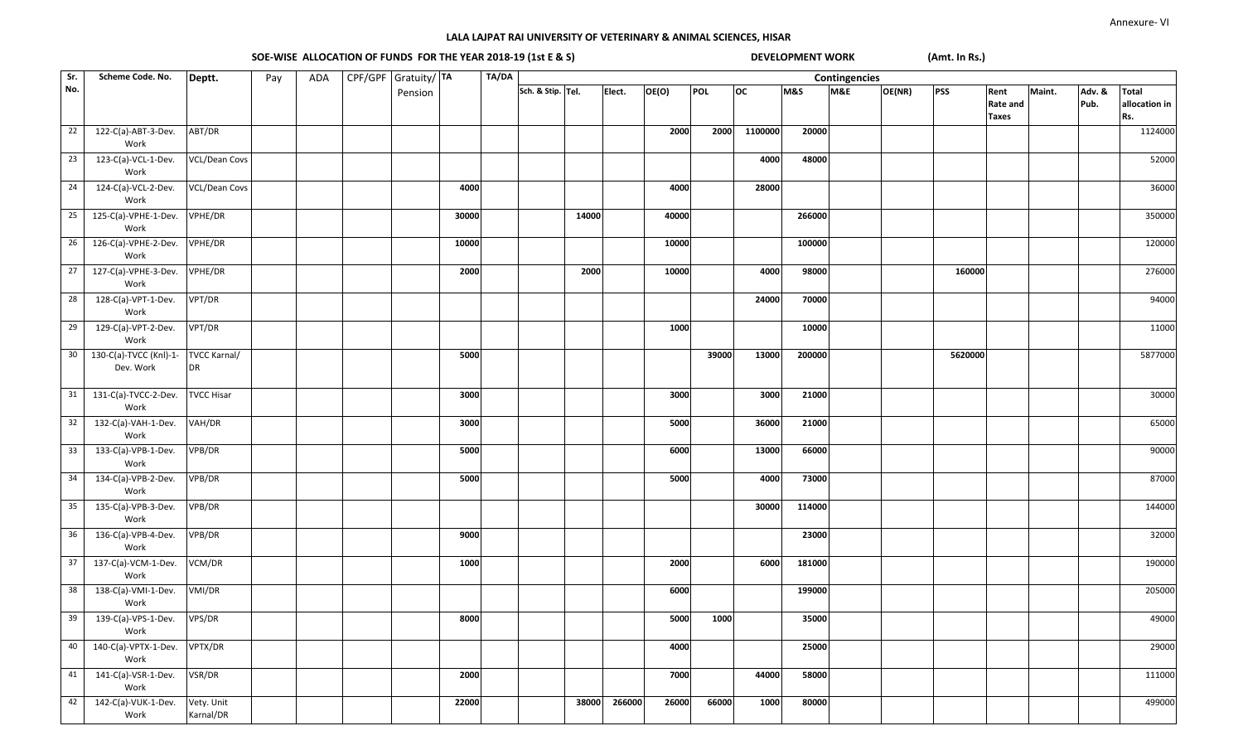SOE-WISE ALLOCATION OF FUNDS FOR THE YEAR 2018-19 (1st E & S) DEVELOPMENT WORK **(Amt. In Rs.)** 

| Sr.             | Scheme Code. No.            | Deptt.               | Pay | ADA | CPF/GPF Gratuity/TA |       | TA/DA |                   |       |        |       |       |           |                | Contingencies |        |            |                 |        |        |               |  |
|-----------------|-----------------------------|----------------------|-----|-----|---------------------|-------|-------|-------------------|-------|--------|-------|-------|-----------|----------------|---------------|--------|------------|-----------------|--------|--------|---------------|--|
| No.             |                             |                      |     |     | Pension             |       |       | Sch. & Stip. Tel. |       | Elect. | OE(O) | POL   | <b>OC</b> | <b>M&amp;S</b> | M&E           | OE(NR) | <b>PSS</b> | Rent            | Maint. | Adv. & | <b>Total</b>  |  |
|                 |                             |                      |     |     |                     |       |       |                   |       |        |       |       |           |                |               |        |            | <b>Rate and</b> |        | Pub.   | allocation in |  |
|                 |                             |                      |     |     |                     |       |       |                   |       |        |       |       |           |                |               |        |            | <b>Taxes</b>    |        |        | Rs.           |  |
| 22              | 122-C(a)-ABT-3-Dev.         | ABT/DR               |     |     |                     |       |       |                   |       |        | 2000  | 2000  | 1100000   | 20000          |               |        |            |                 |        |        | 1124000       |  |
|                 | Work                        |                      |     |     |                     |       |       |                   |       |        |       |       |           |                |               |        |            |                 |        |        |               |  |
| 23              | 123-C(a)-VCL-1-Dev.         | VCL/Dean Covs        |     |     |                     |       |       |                   |       |        |       |       | 4000      | 48000          |               |        |            |                 |        |        | 52000         |  |
|                 | Work                        |                      |     |     |                     |       |       |                   |       |        |       |       |           |                |               |        |            |                 |        |        |               |  |
| 24              | 124-C(a)-VCL-2-Dev.         | <b>VCL/Dean Covs</b> |     |     |                     | 4000  |       |                   |       |        | 4000  |       | 28000     |                |               |        |            |                 |        |        | 36000         |  |
|                 | Work                        |                      |     |     |                     |       |       |                   |       |        |       |       |           |                |               |        |            |                 |        |        |               |  |
| 25              | 125-C(a)-VPHE-1-Dev.        | VPHE/DR              |     |     |                     | 30000 |       |                   | 14000 |        | 40000 |       |           | 266000         |               |        |            |                 |        |        |               |  |
|                 | Work                        |                      |     |     |                     |       |       |                   |       |        |       |       |           |                |               |        |            |                 |        |        | 350000        |  |
|                 |                             |                      |     |     |                     |       |       |                   |       |        |       |       |           |                |               |        |            |                 |        |        |               |  |
| 26              | 126-C(a)-VPHE-2-Dev.        | VPHE/DR              |     |     |                     | 10000 |       |                   |       |        | 10000 |       |           | 100000         |               |        |            |                 |        |        | 120000        |  |
|                 | Work                        |                      |     |     |                     |       |       |                   |       |        |       |       |           |                |               |        |            |                 |        |        |               |  |
| 27              | 127-C(a)-VPHE-3-Dev.        | VPHE/DR              |     |     |                     | 2000  |       |                   | 2000  |        | 10000 |       | 4000      | 98000          |               |        | 160000     |                 |        |        | 276000        |  |
|                 | Work                        |                      |     |     |                     |       |       |                   |       |        |       |       |           |                |               |        |            |                 |        |        |               |  |
| 28              | 128-C(a)-VPT-1-Dev.         | VPT/DR               |     |     |                     |       |       |                   |       |        |       |       | 24000     | 70000          |               |        |            |                 |        |        | 94000         |  |
|                 | Work                        |                      |     |     |                     |       |       |                   |       |        |       |       |           |                |               |        |            |                 |        |        |               |  |
| 29              | 129-C(a)-VPT-2-Dev.         | VPT/DR               |     |     |                     |       |       |                   |       |        | 1000  |       |           | 10000          |               |        |            |                 |        |        | 11000         |  |
|                 | Work                        |                      |     |     |                     |       |       |                   |       |        |       |       |           |                |               |        |            |                 |        |        |               |  |
| 30 <sup>°</sup> | 130-C(a)-TVCC (Knl)-1-      | <b>TVCC Karnal/</b>  |     |     |                     | 5000  |       |                   |       |        |       | 39000 | 13000     | 200000         |               |        | 5620000    |                 |        |        | 5877000       |  |
|                 | Dev. Work                   | <b>DR</b>            |     |     |                     |       |       |                   |       |        |       |       |           |                |               |        |            |                 |        |        |               |  |
|                 |                             |                      |     |     |                     |       |       |                   |       |        |       |       |           |                |               |        |            |                 |        |        |               |  |
| 31              | 131-C(a)-TVCC-2-Dev.        | <b>TVCC Hisar</b>    |     |     |                     | 3000  |       |                   |       |        | 3000  |       | 3000      | 21000          |               |        |            |                 |        |        | 30000         |  |
|                 | Work                        |                      |     |     |                     |       |       |                   |       |        |       |       |           |                |               |        |            |                 |        |        |               |  |
| 32              | 132-C(a)-VAH-1-Dev.         | VAH/DR               |     |     |                     | 3000  |       |                   |       |        | 5000  |       | 36000     | 21000          |               |        |            |                 |        |        | 65000         |  |
|                 | Work                        |                      |     |     |                     |       |       |                   |       |        |       |       |           |                |               |        |            |                 |        |        |               |  |
| 33              | 133-C(a)-VPB-1-Dev.         | VPB/DR               |     |     |                     | 5000  |       |                   |       |        | 6000  |       | 13000     | 66000          |               |        |            |                 |        |        | 90000         |  |
|                 | Work                        |                      |     |     |                     |       |       |                   |       |        |       |       |           |                |               |        |            |                 |        |        |               |  |
| 34              | 134-C(a)-VPB-2-Dev.         | VPB/DR               |     |     |                     | 5000  |       |                   |       |        | 5000  |       | 4000      | 73000          |               |        |            |                 |        |        | 87000         |  |
|                 | Work                        |                      |     |     |                     |       |       |                   |       |        |       |       |           |                |               |        |            |                 |        |        |               |  |
| 35              | 135-C(a)-VPB-3-Dev.         | VPB/DR               |     |     |                     |       |       |                   |       |        |       |       | 30000     | 114000         |               |        |            |                 |        |        | 144000        |  |
|                 | Work                        |                      |     |     |                     |       |       |                   |       |        |       |       |           |                |               |        |            |                 |        |        |               |  |
|                 |                             |                      |     |     |                     |       |       |                   |       |        |       |       |           |                |               |        |            |                 |        |        |               |  |
| 36              | 136-C(a)-VPB-4-Dev.<br>Work | VPB/DR               |     |     |                     | 9000  |       |                   |       |        |       |       |           | 23000          |               |        |            |                 |        |        | 32000         |  |
|                 |                             |                      |     |     |                     |       |       |                   |       |        |       |       |           |                |               |        |            |                 |        |        |               |  |
| 37              | 137-C(a)-VCM-1-Dev.         | VCM/DR               |     |     |                     | 1000  |       |                   |       |        | 2000  |       | 6000      | 181000         |               |        |            |                 |        |        | 190000        |  |
|                 | Work                        |                      |     |     |                     |       |       |                   |       |        |       |       |           |                |               |        |            |                 |        |        |               |  |
| 38              | 138-C(a)-VMI-1-Dev.         | VMI/DR               |     |     |                     |       |       |                   |       |        | 6000  |       |           | 199000         |               |        |            |                 |        |        | 205000        |  |
|                 | Work                        |                      |     |     |                     |       |       |                   |       |        |       |       |           |                |               |        |            |                 |        |        |               |  |
| 39              | 139-C(a)-VPS-1-Dev.         | VPS/DR               |     |     |                     | 8000  |       |                   |       |        | 5000  | 1000  |           | 35000          |               |        |            |                 |        |        | 49000         |  |
|                 | Work                        |                      |     |     |                     |       |       |                   |       |        |       |       |           |                |               |        |            |                 |        |        |               |  |
| 40              | 140-C(a)-VPTX-1-Dev.        | VPTX/DR              |     |     |                     |       |       |                   |       |        | 4000  |       |           | 25000          |               |        |            |                 |        |        | 29000         |  |
|                 | Work                        |                      |     |     |                     |       |       |                   |       |        |       |       |           |                |               |        |            |                 |        |        |               |  |
| 41              | 141-C(a)-VSR-1-Dev.         | VSR/DR               |     |     |                     | 2000  |       |                   |       |        | 7000  |       | 44000     | 58000          |               |        |            |                 |        |        | 111000        |  |
|                 | Work                        |                      |     |     |                     |       |       |                   |       |        |       |       |           |                |               |        |            |                 |        |        |               |  |
| 42              | 142-C(a)-VUK-1-Dev.         | Vety. Unit           |     |     |                     | 22000 |       |                   | 38000 | 266000 | 26000 | 66000 | 1000      | 80000          |               |        |            |                 |        |        | 499000        |  |
|                 | Work                        | Karnal/DR            |     |     |                     |       |       |                   |       |        |       |       |           |                |               |        |            |                 |        |        |               |  |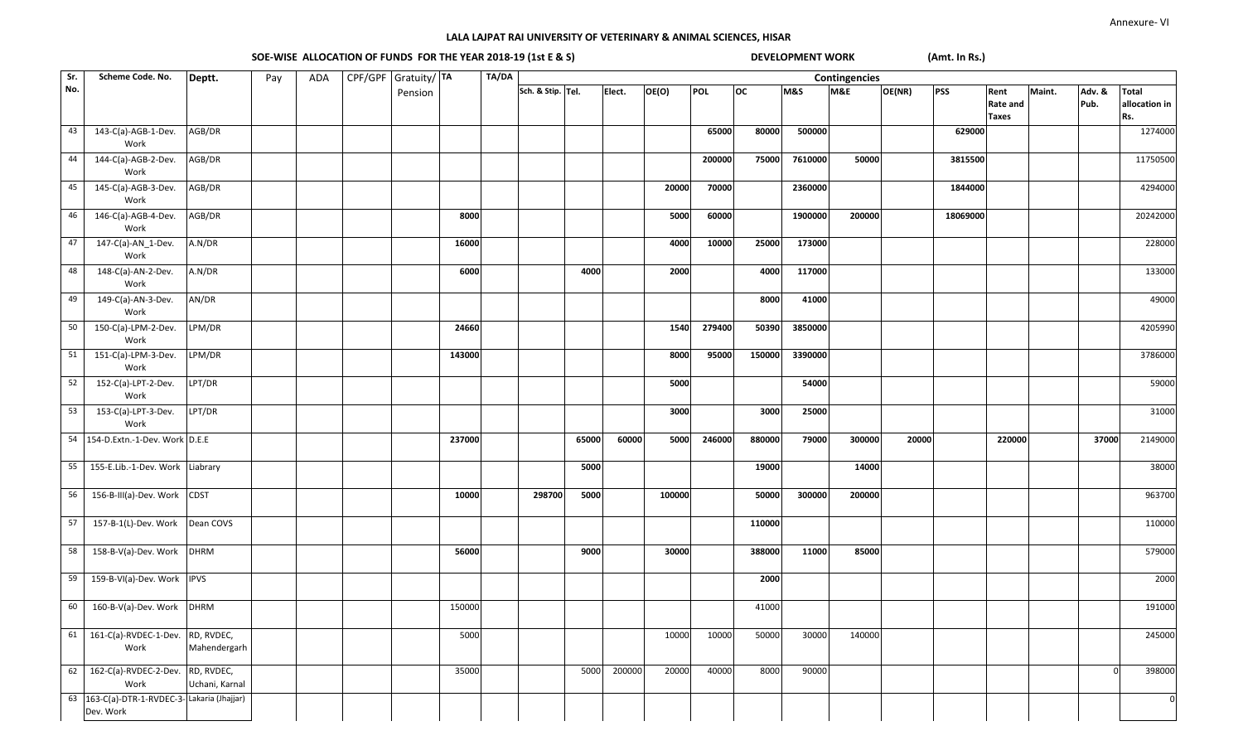SOE-WISE ALLOCATION OF FUNDS FOR THE YEAR 2018-19 (1st E & S) DEVELOPMENT WORK **(Amt. In Rs.)** 

| Sr. | Scheme Code. No.                                         | Deptt.                       | Pay | ADA | CPF/GPF Gratuity/TA |        | TA/DA |                   |       |        |        |            |           |                | Contingencies |        |            |                                         |        |                |                                      |
|-----|----------------------------------------------------------|------------------------------|-----|-----|---------------------|--------|-------|-------------------|-------|--------|--------|------------|-----------|----------------|---------------|--------|------------|-----------------------------------------|--------|----------------|--------------------------------------|
| No. |                                                          |                              |     |     | Pension             |        |       | Sch. & Stip. Tel. |       | Elect. | OE(O)  | <b>POL</b> | <b>OC</b> | <b>M&amp;S</b> | M&E           | OE(NR) | <b>PSS</b> | Rent<br><b>Rate and</b><br><b>Taxes</b> | Maint. | Adv. &<br>Pub. | <b>Total</b><br>allocation in<br>Rs. |
| 43  | 143-C(a)-AGB-1-Dev.<br>Work                              | AGB/DR                       |     |     |                     |        |       |                   |       |        |        | 65000      | 80000     | 500000         |               |        | 629000     |                                         |        |                | 1274000                              |
| 44  | 144-C(a)-AGB-2-Dev.<br>Work                              | AGB/DR                       |     |     |                     |        |       |                   |       |        |        | 200000     | 75000     | 7610000        | 50000         |        | 3815500    |                                         |        |                | 11750500                             |
| 45  | 145-C(a)-AGB-3-Dev.<br>Work                              | AGB/DR                       |     |     |                     |        |       |                   |       |        | 20000  | 70000      |           | 2360000        |               |        | 1844000    |                                         |        |                | 4294000                              |
| 46  | 146-C(a)-AGB-4-Dev.<br>Work                              | AGB/DR                       |     |     |                     | 8000   |       |                   |       |        | 5000   | 60000      |           | 1900000        | 200000        |        | 18069000   |                                         |        |                | 20242000                             |
| 47  | $147-C(a)-AN_1-Dev.$<br>Work                             | A.N/DR                       |     |     |                     | 16000  |       |                   |       |        | 4000   | 10000      | 25000     | 173000         |               |        |            |                                         |        |                | 228000                               |
| 48  | 148-C(a)-AN-2-Dev.<br>Work                               | A.N/DR                       |     |     |                     | 6000   |       |                   | 4000  |        | 2000   |            | 4000      | 117000         |               |        |            |                                         |        |                | 133000                               |
| 49  | 149-C(a)-AN-3-Dev.<br>Work                               | AN/DR                        |     |     |                     |        |       |                   |       |        |        |            | 8000      | 41000          |               |        |            |                                         |        |                | 49000                                |
| 50  | 150-C(a)-LPM-2-Dev.<br>Work                              | LPM/DR                       |     |     |                     | 24660  |       |                   |       |        | 1540   | 279400     | 50390     | 3850000        |               |        |            |                                         |        |                | 4205990                              |
| 51  | 151-C(a)-LPM-3-Dev.<br>Work                              | LPM/DR                       |     |     |                     | 143000 |       |                   |       |        | 8000   | 95000      | 150000    | 3390000        |               |        |            |                                         |        |                | 3786000                              |
| 52  | 152-C(a)-LPT-2-Dev.<br>Work                              | LPT/DR                       |     |     |                     |        |       |                   |       |        | 5000   |            |           | 54000          |               |        |            |                                         |        |                | 59000                                |
| 53  | 153-C(a)-LPT-3-Dev.<br>Work                              | LPT/DR                       |     |     |                     |        |       |                   |       |        | 3000   |            | 3000      | 25000          |               |        |            |                                         |        |                | 31000                                |
| 54  | 154-D.Extn.-1-Dev. Work D.E.E                            |                              |     |     |                     | 237000 |       |                   | 65000 | 60000  | 5000   | 246000     | 880000    | 79000          | 300000        | 20000  |            | 220000                                  |        | 37000          | 2149000                              |
| 55  | 155-E.Lib.-1-Dev. Work Liabrary                          |                              |     |     |                     |        |       |                   | 5000  |        |        |            | 19000     |                | 14000         |        |            |                                         |        |                | 38000                                |
| 56  | 156-B-III(a)-Dev. Work                                   | <b>CDST</b>                  |     |     |                     | 10000  |       | 298700            | 5000  |        | 100000 |            | 50000     | 300000         | 200000        |        |            |                                         |        |                | 963700                               |
| 57  | 157-B-1(L)-Dev. Work                                     | Dean COVS                    |     |     |                     |        |       |                   |       |        |        |            | 110000    |                |               |        |            |                                         |        |                | 110000                               |
| 58  | 158-B-V(a)-Dev. Work                                     | <b>DHRM</b>                  |     |     |                     | 56000  |       |                   | 9000  |        | 30000  |            | 388000    | 11000          | 85000         |        |            |                                         |        |                | 579000                               |
| 59  | 159-B-VI(a)-Dev. Work IPVS                               |                              |     |     |                     |        |       |                   |       |        |        |            | 2000      |                |               |        |            |                                         |        |                | 2000                                 |
| 60  | 160-B-V(a)-Dev. Work                                     | <b>DHRM</b>                  |     |     |                     | 150000 |       |                   |       |        |        |            | 41000     |                |               |        |            |                                         |        |                | 191000                               |
|     | 61  161-C(a)-RVDEC-1-Dev.<br>Work                        | RD, RVDEC,<br>Mahendergarh   |     |     |                     | 5000   |       |                   |       |        | 10000  | 10000      | 50000     | 30000          | 140000        |        |            |                                         |        |                | 245000                               |
| 62  | 162-C(a)-RVDEC-2-Dev.<br>Work                            | RD, RVDEC,<br>Uchani, Karnal |     |     |                     | 35000  |       |                   | 5000  | 200000 | 20000  | 40000      | 8000      | 90000          |               |        |            |                                         |        | $\Omega$       | 398000                               |
|     | 63 163-C(a)-DTR-1-RVDEC-3-Lakaria (Jhajjar)<br>Dev. Work |                              |     |     |                     |        |       |                   |       |        |        |            |           |                |               |        |            |                                         |        |                | $\overline{0}$                       |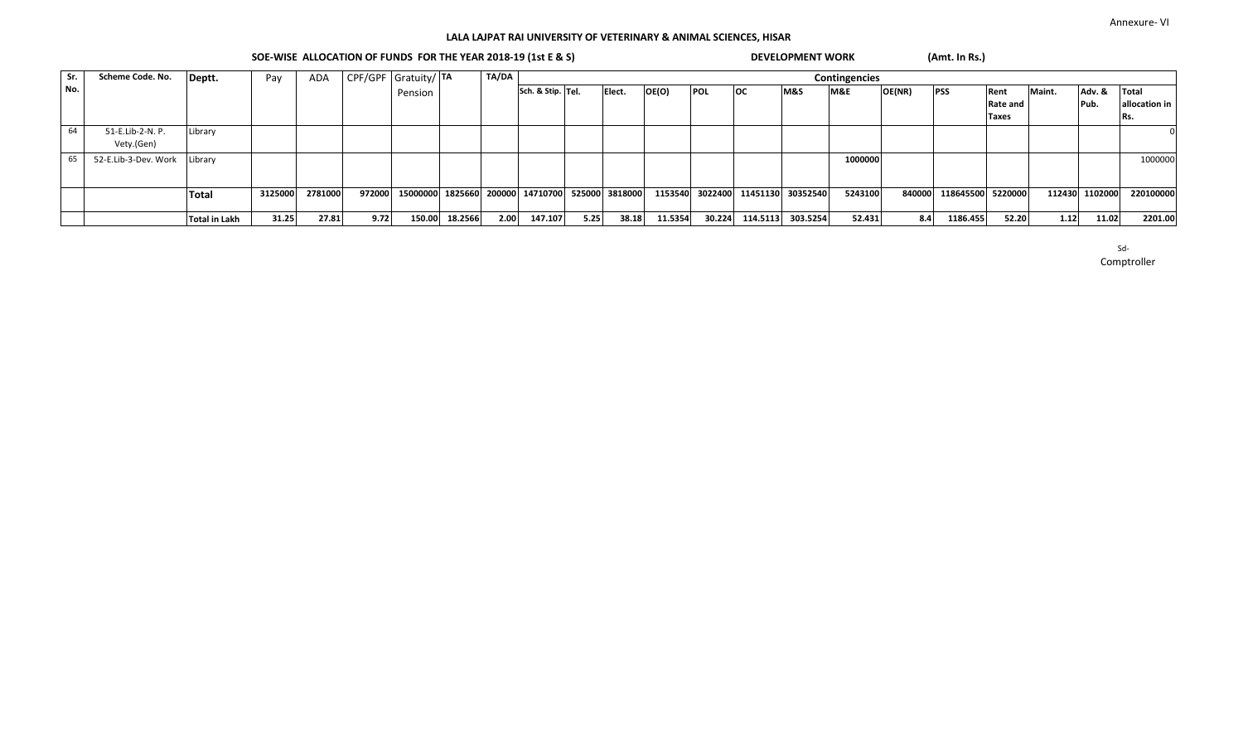# SOE-WISE ALLOCATION OF FUNDS FOR THE YEAR 2018-19 (1st E & S) DEVELOPMENT WORK **(Amt. In Rs.)**

| Sr. | Scheme Code. No.     | Deptt.               | Pay     | ADA     |        | CPF/GPF Gratuity/ TA |                | TA/DA | Contingencies                                   |      |        |         |                 |           |          |         |        |                   |              |        |                |               |
|-----|----------------------|----------------------|---------|---------|--------|----------------------|----------------|-------|-------------------------------------------------|------|--------|---------|-----------------|-----------|----------|---------|--------|-------------------|--------------|--------|----------------|---------------|
| No. |                      |                      |         |         |        | Pension              |                |       | Sch. & Stip. Tel.                               |      | Elect. | OE(O)   | <b>POL</b>      | <b>OC</b> | M&S      | M&E     | OE(NR) | <b>PSS</b>        | Rent         | Maint. | Adv. &         | Total         |
|     |                      |                      |         |         |        |                      |                |       |                                                 |      |        |         |                 |           |          |         |        |                   | Rate and     |        | Pub.           | allocation in |
|     |                      |                      |         |         |        |                      |                |       |                                                 |      |        |         |                 |           |          |         |        |                   | <b>Taxes</b> |        |                | Rs.           |
| 64  | 51-E.Lib-2-N. P.     | Library              |         |         |        |                      |                |       |                                                 |      |        |         |                 |           |          |         |        |                   |              |        |                |               |
|     | Vety.(Gen)           |                      |         |         |        |                      |                |       |                                                 |      |        |         |                 |           |          |         |        |                   |              |        |                |               |
|     | 52-E.Lib-3-Dev. Work | Library              |         |         |        |                      |                |       |                                                 |      |        |         |                 |           |          | 1000000 |        |                   |              |        |                | 1000000       |
|     |                      |                      |         |         |        |                      |                |       |                                                 |      |        |         |                 |           |          |         |        |                   |              |        |                |               |
|     |                      |                      | 3125000 | 2781000 | 972000 |                      |                |       | 15000000 1825660 200000 14710700 525000 3818000 |      |        |         | 1153540 3022400 | 11451130  | 30352540 | 5243100 | 840000 | 118645500 5220000 |              |        | 112430 1102000 | 220100000     |
|     |                      | Total                |         |         |        |                      |                |       |                                                 |      |        |         |                 |           |          |         |        |                   |              |        |                |               |
|     |                      | <b>Total in Lakh</b> | 31.25   | 27.81   | 9.72   |                      | 150.00 18.2566 | 2.00  | 147.107                                         | 5.25 | 38.18  | 11.5354 | 30.224          | 114.5113  | 303.5254 | 52.431  | 8.4    | 1186.455          | 52.20        | 1.12   | 11.02          | 2201.00       |

Sd-

Comptroller